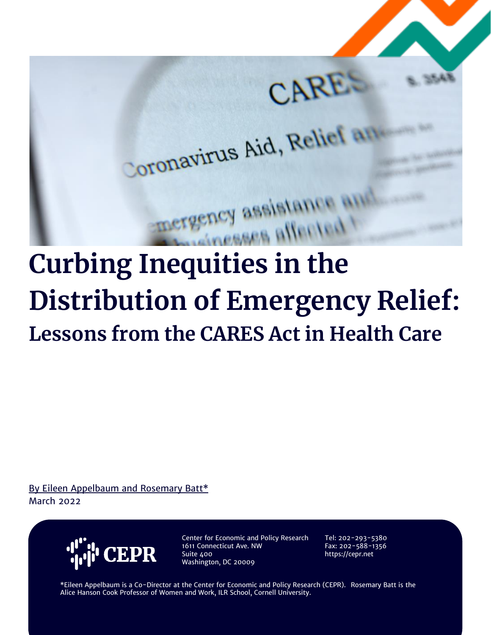

# **Curbing Inequities in the Distribution of Emergency Relief: Lessons from the CARES Act in Health Care**

By Eileen Appelbaum and Rosemary Batt\* March 2022



Center for Economic and Policy Research 1611 Connecticut Ave. NW Suite 400 Washington, DC 20009

Tel: 202-293-5380 Fax: 202-588-1356 https://cepr.net

\*Eileen Appelbaum is a Co-Director at the Center for Economic and Policy Research (CEPR). Rosemary Batt is the Alice Hanson Cook Professor of Women and Work, ILR School, Cornell University.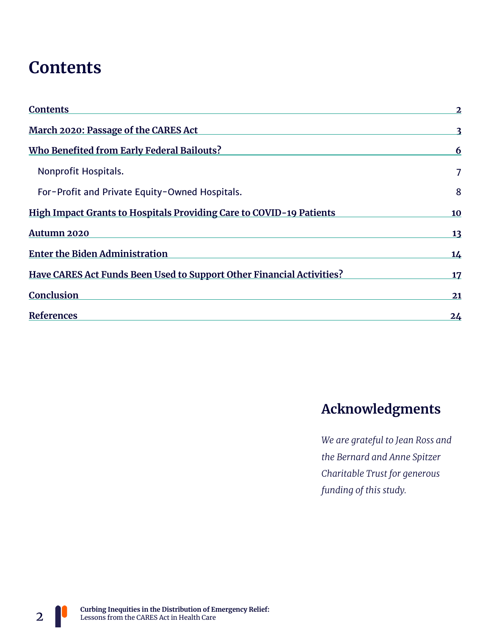## **Contents**

| <b>Contents</b>                                                       | $\overline{2}$ |
|-----------------------------------------------------------------------|----------------|
| March 2020: Passage of the CARES Act                                  |                |
| Who Benefited from Early Federal Bailouts?                            | 6              |
| Nonprofit Hospitals.                                                  |                |
| For-Profit and Private Equity-Owned Hospitals.                        | 8              |
| High Impact Grants to Hospitals Providing Care to COVID-19 Patients   | 10             |
| Autumn 2020                                                           | 13             |
| <b>Enter the Biden Administration</b>                                 | 14             |
| Have CARES Act Funds Been Used to Support Other Financial Activities? | 17             |
| Conclusion                                                            | 21             |
| References                                                            | 24             |

#### **Acknowledgments**

*We are grateful to Jean Ross and the Bernard and Anne Spitzer Charitable Trust for generous funding of this study.*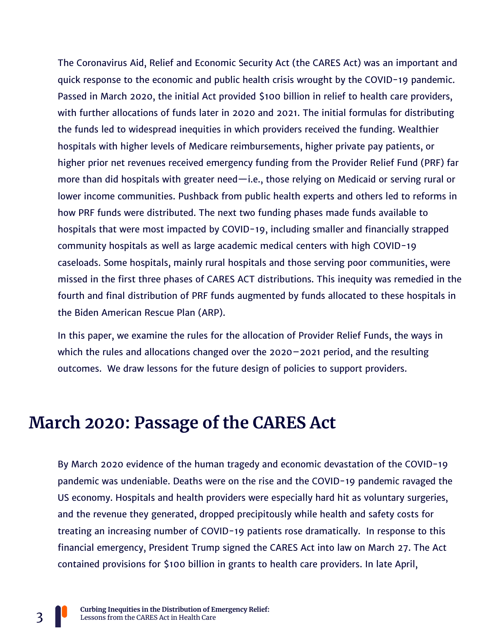The Coronavirus Aid, Relief and Economic Security Act (the CARES Act) was an important and quick response to the economic and public health crisis wrought by the COVID-19 pandemic. Passed in March 2020, the initial Act provided \$100 billion in relief to health care providers, with further allocations of funds later in 2020 and 2021. The initial formulas for distributing the funds led to widespread inequities in which providers received the funding. Wealthier hospitals with higher levels of Medicare reimbursements, higher private pay patients, or higher prior net revenues received emergency funding from the Provider Relief Fund (PRF) far more than did hospitals with greater need—i.e., those relying on Medicaid or serving rural or lower income communities. Pushback from public health experts and others led to reforms in how PRF funds were distributed. The next two funding phases made funds available to hospitals that were most impacted by COVID-19, including smaller and financially strapped community hospitals as well as large academic medical centers with high COVID-19 caseloads. Some hospitals, mainly rural hospitals and those serving poor communities, were missed in the first three phases of CARES ACT distributions. This inequity was remedied in the fourth and final distribution of PRF funds augmented by funds allocated to these hospitals in the Biden American Rescue Plan (ARP).

In this paper, we examine the rules for the allocation of Provider Relief Funds, the ways in which the rules and allocations changed over the 2020–2021 period, and the resulting outcomes. We draw lessons for the future design of policies to support providers.

## **March 2020: Passage of the CARES Act**

By March 2020 evidence of the human tragedy and economic devastation of the COVID-19 pandemic was undeniable. Deaths were on the rise and the COVID-19 pandemic ravaged the US economy. Hospitals and health providers were especially hard hit as voluntary surgeries, and the revenue they generated, dropped precipitously while health and safety costs for treating an increasing number of COVID-19 patients rose dramatically. In response to this financial emergency, President Trump signed the CARES Act into law on March 27. The Act contained provisions for \$100 billion in grants to health care providers. In late April,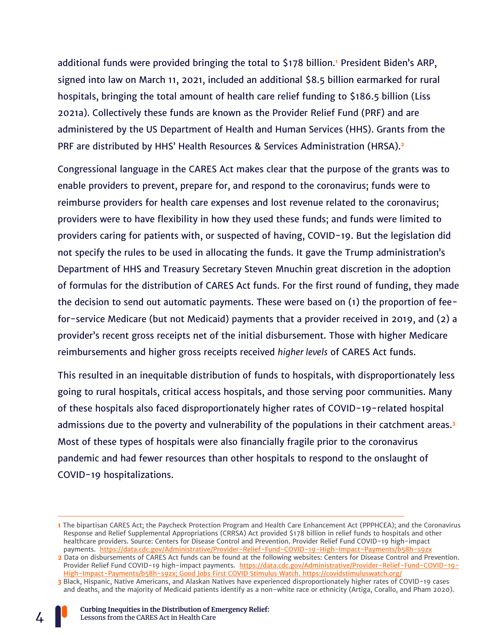additional funds were provided bringing the total to \$178 billion.**<sup>1</sup>** President Biden's ARP, signed into law on March 11, 2021, included an additional \$8.5 billion earmarked for rural hospitals, bringing the total amount of health care relief funding to \$186.5 billion (Liss 2021a). Collectively these funds are known as the Provider Relief Fund (PRF) and are administered by the US Department of Health and Human Services (HHS). Grants from the PRF are distributed by HHS' Health Resources & Services Administration (HRSA).**<sup>2</sup>**

Congressional language in the CARES Act makes clear that the purpose of the grants was to enable providers to prevent, prepare for, and respond to the coronavirus; funds were to reimburse providers for health care expenses and lost revenue related to the coronavirus; providers were to have flexibility in how they used these funds; and funds were limited to providers caring for patients with, or suspected of having, COVID-19. But the legislation did not specify the rules to be used in allocating the funds. It gave the Trump administration's Department of HHS and Treasury Secretary Steven Mnuchin great discretion in the adoption of formulas for the distribution of CARES Act funds. For the first round of funding, they made the decision to send out automatic payments. These were based on (1) the proportion of feefor-service Medicare (but not Medicaid) payments that a provider received in 2019, and (2) a provider's recent gross receipts net of the initial disbursement. Those with higher Medicare reimbursements and higher gross receipts received *higher levels* of CARES Act funds.

This resulted in an inequitable distribution of funds to hospitals, with disproportionately less going to rural hospitals, critical access hospitals, and those serving poor communities. Many of these hospitals also faced disproportionately higher rates of COVID-19-related hospital admissions due to the poverty and vulnerability of the populations in their catchment areas.**<sup>3</sup>** Most of these types of hospitals were also financially fragile prior to the coronavirus pandemic and had fewer resources than other hospitals to respond to the onslaught of COVID-19 hospitalizations.

**<sup>1</sup>** The bipartisan CARES Act; the Paycheck Protection Program and Health Care Enhancement Act (PPPHCEA); and the Coronavirus Response and Relief Supplemental Appropriations (CRRSA) Act provided \$178 billion in relief funds to hospitals and other healthcare providers. Source: Centers for Disease Control and Prevention. Provider Relief Fund COVID-19 high-impact payments.<https://data.cdc.gov/Administrative/Provider-Relief-Fund-COVID-19-High-Impact-Payments/b58h-s9zx>

**<sup>2</sup>** Data on disbursements of CARES Act funds can be found at the following websites: Centers for Disease Control and Prevention. Provider Relief Fund COVID-19 high-impact payments. [https://data.cdc.gov/Administrative/Provider-Relief-Fund-COVID-19-](https://data.cdc.gov/Administrative/Provider-Relief-Fund-COVID-19-High-Impact-Payments/b58h-s9zx) [High-Impact-Payments/b58h-s9zx;](https://data.cdc.gov/Administrative/Provider-Relief-Fund-COVID-19-High-Impact-Payments/b58h-s9zx) Good Jobs First COVID Stimulus Watch.<https://covidstimuluswatch.org/>

**<sup>3</sup>** Black, Hispanic, Native Americans, and Alaskan Natives have experienced disproportionately higher rates of COVID-19 cases and deaths, and the majority of Medicaid patients identify as a non-white race or ethnicity (Artiga, Corallo, and Pham 2020).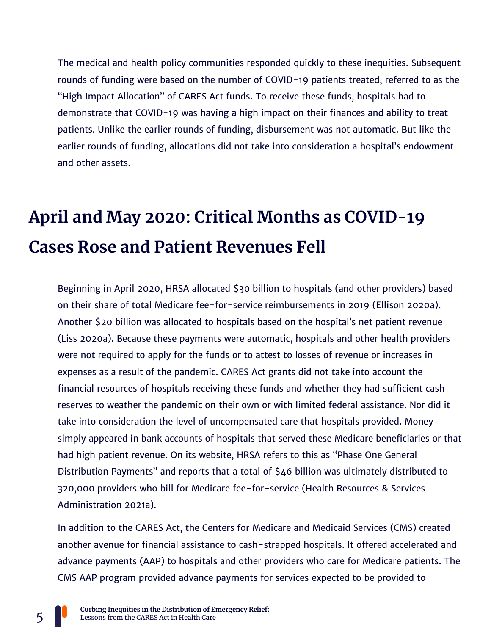The medical and health policy communities responded quickly to these inequities. Subsequent rounds of funding were based on the number of COVID-19 patients treated, referred to as the "High Impact Allocation" of CARES Act funds. To receive these funds, hospitals had to demonstrate that COVID-19 was having a high impact on their finances and ability to treat patients. Unlike the earlier rounds of funding, disbursement was not automatic. But like the earlier rounds of funding, allocations did not take into consideration a hospital's endowment and other assets.

## **April and May 2020: Critical Months as COVID-19 Cases Rose and Patient Revenues Fell**

Beginning in April 2020, HRSA allocated \$30 billion to hospitals (and other providers) based on their share of total Medicare fee-for-service reimbursements in 2019 (Ellison 2020a). Another \$20 billion was allocated to hospitals based on the hospital's net patient revenue (Liss 2020a). Because these payments were automatic, hospitals and other health providers were not required to apply for the funds or to attest to losses of revenue or increases in expenses as a result of the pandemic. CARES Act grants did not take into account the financial resources of hospitals receiving these funds and whether they had sufficient cash reserves to weather the pandemic on their own or with limited federal assistance. Nor did it take into consideration the level of uncompensated care that hospitals provided. Money simply appeared in bank accounts of hospitals that served these Medicare beneficiaries or that had high patient revenue. On its website, HRSA refers to this as "Phase One General Distribution Payments" and reports that a total of \$46 billion was ultimately distributed to 320,000 providers who bill for Medicare fee-for-service (Health Resources & Services Administration 2021a).

In addition to the CARES Act, the Centers for Medicare and Medicaid Services (CMS) created another avenue for financial assistance to cash-strapped hospitals. It offered accelerated and advance payments (AAP) to hospitals and other providers who care for Medicare patients. The CMS AAP program provided advance payments for services expected to be provided to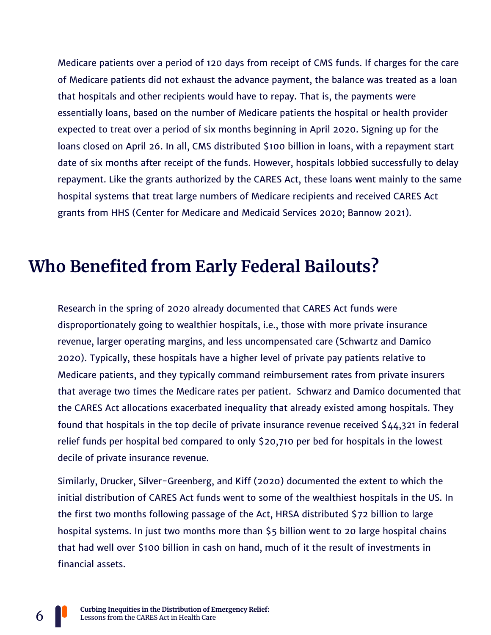Medicare patients over a period of 120 days from receipt of CMS funds. If charges for the care of Medicare patients did not exhaust the advance payment, the balance was treated as a loan that hospitals and other recipients would have to repay. That is, the payments were essentially loans, based on the number of Medicare patients the hospital or health provider expected to treat over a period of six months beginning in April 2020. Signing up for the loans closed on April 26. In all, CMS distributed \$100 billion in loans, with a repayment start date of six months after receipt of the funds. However, hospitals lobbied successfully to delay repayment. Like the grants authorized by the CARES Act, these loans went mainly to the same hospital systems that treat large numbers of Medicare recipients and received CARES Act grants from HHS (Center for Medicare and Medicaid Services 2020; Bannow 2021).

## **Who Benefited from Early Federal Bailouts?**

Research in the spring of 2020 already documented that CARES Act funds were disproportionately going to wealthier hospitals, i.e., those with more private insurance revenue, larger operating margins, and less uncompensated care (Schwartz and Damico 2020). Typically, these hospitals have a higher level of private pay patients relative to Medicare patients, and they typically command reimbursement rates from private insurers that average two times the Medicare rates per patient. Schwarz and Damico documented that the CARES Act allocations exacerbated inequality that already existed among hospitals. They found that hospitals in the top decile of private insurance revenue received \$44,321 in federal relief funds per hospital bed compared to only \$20,710 per bed for hospitals in the lowest decile of private insurance revenue.

Similarly, Drucker, Silver-Greenberg, and Kiff (2020) documented the extent to which the initial distribution of CARES Act funds went to some of the wealthiest hospitals in the US. In the first two months following passage of the Act, HRSA distributed \$72 billion to large hospital systems. In just two months more than \$5 billion went to 20 large hospital chains that had well over \$100 billion in cash on hand, much of it the result of investments in financial assets.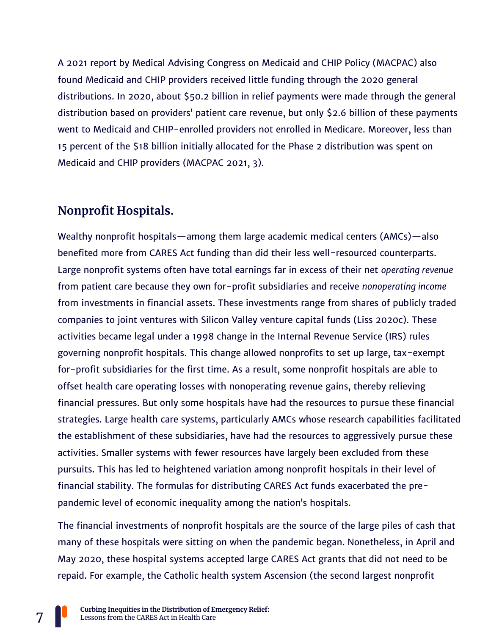A 2021 report by Medical Advising Congress on Medicaid and CHIP Policy (MACPAC) also found Medicaid and CHIP providers received little funding through the 2020 general distributions. In 2020, about \$50.2 billion in relief payments were made through the general distribution based on providers' patient care revenue, but only \$2.6 billion of these payments went to Medicaid and CHIP-enrolled providers not enrolled in Medicare. Moreover, less than 15 percent of the \$18 billion initially allocated for the Phase 2 distribution was spent on Medicaid and CHIP providers (MACPAC 2021, 3).

#### **Nonprofit Hospitals.**

Wealthy nonprofit hospitals—among them large academic medical centers (AMCs)—also benefited more from CARES Act funding than did their less well-resourced counterparts. Large nonprofit systems often have total earnings far in excess of their net *operating revenue* from patient care because they own for-profit subsidiaries and receive *nonoperating income* from investments in financial assets. These investments range from shares of publicly traded companies to joint ventures with Silicon Valley venture capital funds (Liss 2020c). These activities became legal under a 1998 change in the Internal Revenue Service (IRS) rules governing nonprofit hospitals. This change allowed nonprofits to set up large, tax-exempt for-profit subsidiaries for the first time. As a result, some nonprofit hospitals are able to offset health care operating losses with nonoperating revenue gains, thereby relieving financial pressures. But only some hospitals have had the resources to pursue these financial strategies. Large health care systems, particularly AMCs whose research capabilities facilitated the establishment of these subsidiaries, have had the resources to aggressively pursue these activities. Smaller systems with fewer resources have largely been excluded from these pursuits. This has led to heightened variation among nonprofit hospitals in their level of financial stability. The formulas for distributing CARES Act funds exacerbated the prepandemic level of economic inequality among the nation's hospitals.

The financial investments of nonprofit hospitals are the source of the large piles of cash that many of these hospitals were sitting on when the pandemic began. Nonetheless, in April and May 2020, these hospital systems accepted large CARES Act grants that did not need to be repaid. For example, the Catholic health system Ascension (the second largest nonprofit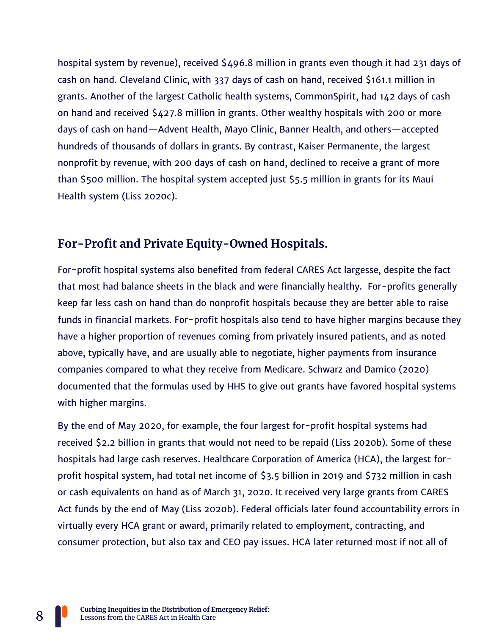hospital system by revenue), received \$496.8 million in grants even though it had 231 days of cash on hand. Cleveland Clinic, with 337 days of cash on hand, received \$161.1 million in grants. Another of the largest Catholic health systems, CommonSpirit, had 142 days of cash on hand and received \$427.8 million in grants. Other wealthy hospitals with 200 or more days of cash on hand—Advent Health, Mayo Clinic, Banner Health, and others—accepted hundreds of thousands of dollars in grants. By contrast, Kaiser Permanente, the largest nonprofit by revenue, with 200 days of cash on hand, declined to receive a grant of more than \$500 million. The hospital system accepted just \$5.5 million in grants for its Maui Health system (Liss 2020c).

#### **For-Profit and Private Equity-Owned Hospitals.**

For-profit hospital systems also benefited from federal CARES Act largesse, despite the fact that most had balance sheets in the black and were financially healthy. For-profits generally keep far less cash on hand than do nonprofit hospitals because they are better able to raise funds in financial markets. For-profit hospitals also tend to have higher margins because they have a higher proportion of revenues coming from privately insured patients, and as noted above, typically have, and are usually able to negotiate, higher payments from insurance companies compared to what they receive from Medicare. Schwarz and Damico (2020) documented that the formulas used by HHS to give out grants have favored hospital systems with higher margins.

By the end of May 2020, for example, the four largest for-profit hospital systems had received \$2.2 billion in grants that would not need to be repaid (Liss 2020b). Some of these hospitals had large cash reserves. Healthcare Corporation of America (HCA), the largest forprofit hospital system, had total net income of \$3.5 billion in 2019 and \$732 million in cash or cash equivalents on hand as of March 31, 2020. It received very large grants from CARES Act funds by the end of May (Liss 2020b). Federal officials later found accountability errors in virtually every HCA grant or award, primarily related to employment, contracting, and consumer protection, but also tax and CEO pay issues. HCA later returned most if not all of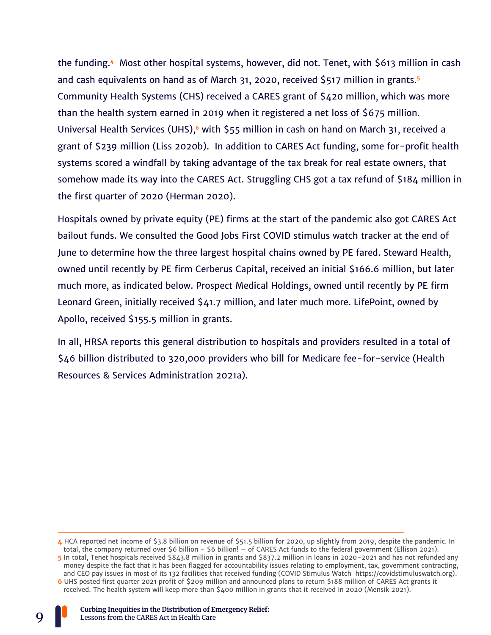the funding.**<sup>4</sup>** Most other hospital systems, however, did not. Tenet, with \$613 million in cash and cash equivalents on hand as of March 31, 2020, received \$517 million in grants.**<sup>5</sup>** Community Health Systems (CHS) received a CARES grant of \$420 million, which was more than the health system earned in 2019 when it registered a net loss of \$675 million. Universal Health Services (UHS),**<sup>6</sup>** with \$55 million in cash on hand on March 31, received a grant of \$239 million (Liss 2020b). In addition to CARES Act funding, some for-profit health systems scored a windfall by taking advantage of the tax break for real estate owners, that somehow made its way into the CARES Act. Struggling CHS got a tax refund of \$184 million in the first quarter of 2020 (Herman 2020).

Hospitals owned by private equity (PE) firms at the start of the pandemic also got CARES Act bailout funds. We consulted the Good Jobs First COVID stimulus watch tracker at the end of June to determine how the three largest hospital chains owned by PE fared. Steward Health, owned until recently by PE firm Cerberus Capital, received an initial \$166.6 million, but later much more, as indicated below. Prospect Medical Holdings, owned until recently by PE firm Leonard Green, initially received \$41.7 million, and later much more. LifePoint, owned by Apollo, received \$155.5 million in grants.

In all, HRSA reports this general distribution to hospitals and providers resulted in a total of \$46 billion distributed to 320,000 providers who bill for Medicare fee-for-service (Health Resources & Services Administration 2021a).



**<sup>4</sup>** HCA reported net income of \$3.8 billion on revenue of \$51.5 billion for 2020, up slightly from 2019, despite the pandemic. In total, the company returned over \$6 billion - \$6 billion! – of CARES Act funds to the federal government (Ellison 2021). **5** In total, Tenet hospitals received \$843.8 million in grants and \$837.2 million in loans in 2020-2021 and has not refunded any money despite the fact that it has been flagged for accountability issues relating to employment, tax, government contracting, and CEO pay issues in most of its 132 facilities that received funding (COVID Stimulus Watch https://covidstimuluswatch.org). **6** UHS posted first quarter 2021 profit of \$209 million and announced plans to return \$188 million of CARES Act grants it received. The health system will keep more than \$400 million in grants that it received in 2020 (Mensik 2021).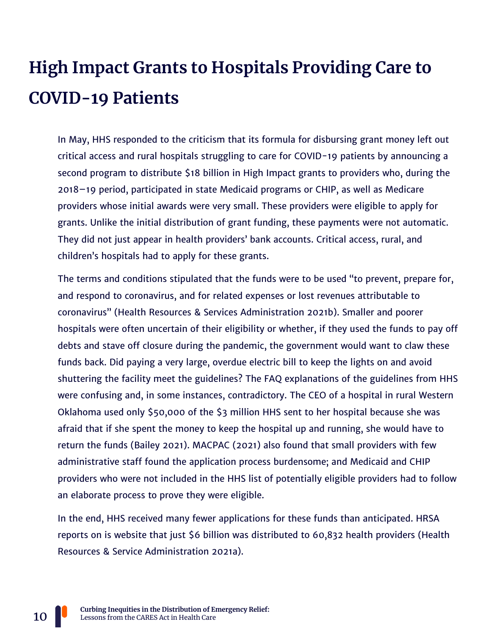## **High Impact Grants to Hospitals Providing Care to COVID-19 Patients**

In May, HHS responded to the criticism that its formula for disbursing grant money left out critical access and rural hospitals struggling to care for COVID-19 patients by announcing a second program to distribute \$18 billion in High Impact grants to providers who, during the 2018–19 period, participated in state Medicaid programs or CHIP, as well as Medicare providers whose initial awards were very small. These providers were eligible to apply for grants. Unlike the initial distribution of grant funding, these payments were not automatic. They did not just appear in health providers' bank accounts. Critical access, rural, and children's hospitals had to apply for these grants.

The terms and conditions stipulated that the funds were to be used "to prevent, prepare for, and respond to coronavirus, and for related expenses or lost revenues attributable to coronavirus" (Health Resources & Services Administration 2021b). Smaller and poorer hospitals were often uncertain of their eligibility or whether, if they used the funds to pay off debts and stave off closure during the pandemic, the government would want to claw these funds back. Did paying a very large, overdue electric bill to keep the lights on and avoid shuttering the facility meet the guidelines? The FAQ explanations of the guidelines from HHS were confusing and, in some instances, contradictory. The CEO of a hospital in rural Western Oklahoma used only \$50,000 of the \$3 million HHS sent to her hospital because she was afraid that if she spent the money to keep the hospital up and running, she would have to return the funds (Bailey 2021). MACPAC (2021) also found that small providers with few administrative staff found the application process burdensome; and Medicaid and CHIP providers who were not included in the HHS list of potentially eligible providers had to follow an elaborate process to prove they were eligible.

In the end, HHS received many fewer applications for these funds than anticipated. HRSA reports on is website that just \$6 billion was distributed to 60,832 health providers (Health Resources & Service Administration 2021a).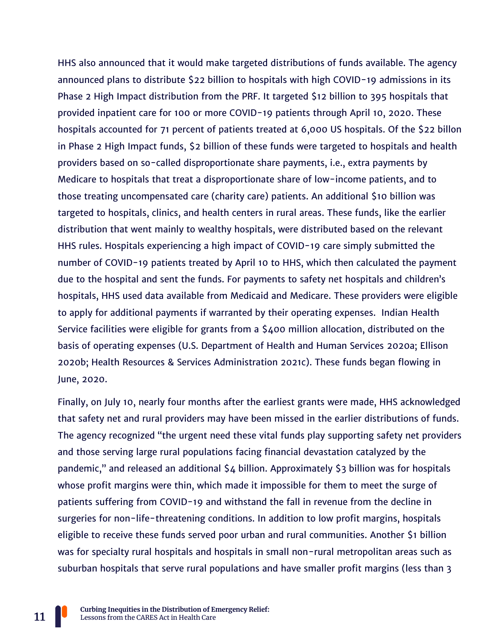HHS also announced that it would make targeted distributions of funds available. The agency announced plans to distribute \$22 billion to hospitals with high COVID-19 admissions in its Phase 2 High Impact distribution from the PRF. It targeted \$12 billion to 395 hospitals that provided inpatient care for 100 or more COVID-19 patients through April 10, 2020. These hospitals accounted for 71 percent of patients treated at 6,000 US hospitals. Of the \$22 billon in Phase 2 High Impact funds, \$2 billion of these funds were targeted to hospitals and health providers based on so-called disproportionate share payments, i.e., extra payments by Medicare to hospitals that treat a disproportionate share of low-income patients, and to those treating uncompensated care (charity care) patients. An additional \$10 billion was targeted to hospitals, clinics, and health centers in rural areas. These funds, like the earlier distribution that went mainly to wealthy hospitals, were distributed based on the relevant HHS rules. Hospitals experiencing a high impact of COVID-19 care simply submitted the number of COVID-19 patients treated by April 10 to HHS, which then calculated the payment due to the hospital and sent the funds. For payments to safety net hospitals and children's hospitals, HHS used data available from Medicaid and Medicare. These providers were eligible to apply for additional payments if warranted by their operating expenses. Indian Health Service facilities were eligible for grants from a \$400 million allocation, distributed on the basis of operating expenses (U.S. Department of Health and Human Services 2020a; Ellison 2020b; Health Resources & Services Administration 2021c). These funds began flowing in June, 2020.

Finally, on July 10, nearly four months after the earliest grants were made, HHS acknowledged that safety net and rural providers may have been missed in the earlier distributions of funds. The agency recognized "the urgent need these vital funds play supporting safety net providers and those serving large rural populations facing financial devastation catalyzed by the pandemic," and released an additional \$4 billion. Approximately \$3 billion was for hospitals whose profit margins were thin, which made it impossible for them to meet the surge of patients suffering from COVID-19 and withstand the fall in revenue from the decline in surgeries for non-life-threatening conditions. In addition to low profit margins, hospitals eligible to receive these funds served poor urban and rural communities. Another \$1 billion was for specialty rural hospitals and hospitals in small non-rural metropolitan areas such as suburban hospitals that serve rural populations and have smaller profit margins (less than 3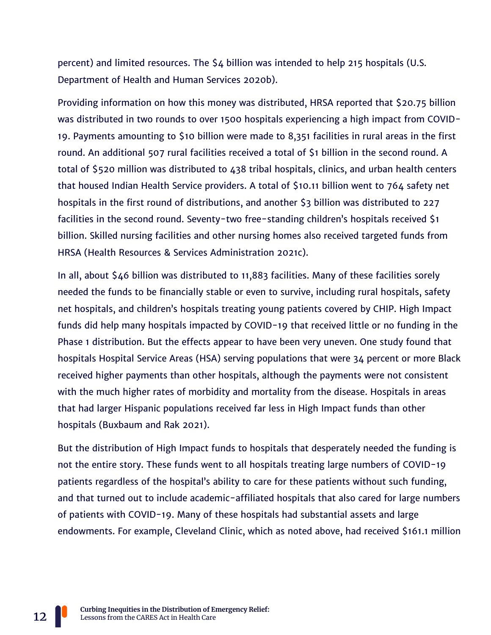percent) and limited resources. The \$4 billion was intended to help 215 hospitals (U.S. Department of Health and Human Services 2020b).

Providing information on how this money was distributed, HRSA reported that \$20.75 billion was distributed in two rounds to over 1500 hospitals experiencing a high impact from COVID-19. Payments amounting to \$10 billion were made to 8,351 facilities in rural areas in the first round. An additional 507 rural facilities received a total of \$1 billion in the second round. A total of \$520 million was distributed to 438 tribal hospitals, clinics, and urban health centers that housed Indian Health Service providers. A total of \$10.11 billion went to 764 safety net hospitals in the first round of distributions, and another \$3 billion was distributed to 227 facilities in the second round. Seventy-two free-standing children's hospitals received \$1 billion. Skilled nursing facilities and other nursing homes also received targeted funds from HRSA (Health Resources & Services Administration 2021c).

In all, about \$46 billion was distributed to 11,883 facilities. Many of these facilities sorely needed the funds to be financially stable or even to survive, including rural hospitals, safety net hospitals, and children's hospitals treating young patients covered by CHIP. High Impact funds did help many hospitals impacted by COVID-19 that received little or no funding in the Phase 1 distribution. But the effects appear to have been very uneven. One study found that hospitals Hospital Service Areas (HSA) serving populations that were 34 percent or more Black received higher payments than other hospitals, although the payments were not consistent with the much higher rates of morbidity and mortality from the disease. Hospitals in areas that had larger Hispanic populations received far less in High Impact funds than other hospitals (Buxbaum and Rak 2021).

But the distribution of High Impact funds to hospitals that desperately needed the funding is not the entire story. These funds went to all hospitals treating large numbers of COVID-19 patients regardless of the hospital's ability to care for these patients without such funding, and that turned out to include academic-affiliated hospitals that also cared for large numbers of patients with COVID-19. Many of these hospitals had substantial assets and large endowments. For example, Cleveland Clinic, which as noted above, had received \$161.1 million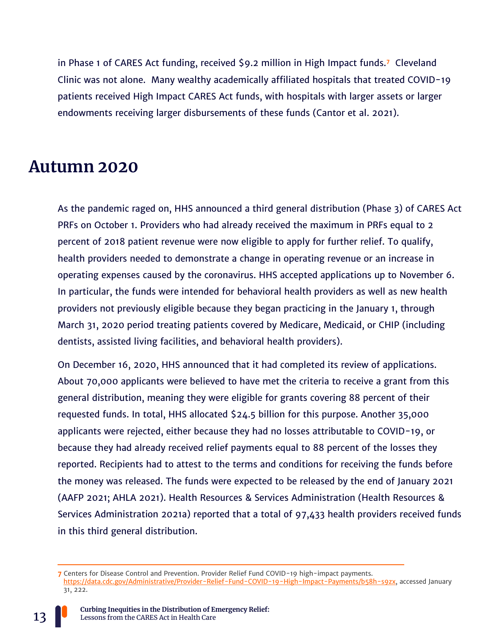in Phase 1 of CARES Act funding, received \$9.2 million in High Impact funds.**<sup>7</sup>** Cleveland Clinic was not alone. Many wealthy academically affiliated hospitals that treated COVID-19 patients received High Impact CARES Act funds, with hospitals with larger assets or larger endowments receiving larger disbursements of these funds (Cantor et al. 2021).

#### **Autumn 2020**

As the pandemic raged on, HHS announced a third general distribution (Phase 3) of CARES Act PRFs on October 1. Providers who had already received the maximum in PRFs equal to 2 percent of 2018 patient revenue were now eligible to apply for further relief. To qualify, health providers needed to demonstrate a change in operating revenue or an increase in operating expenses caused by the coronavirus. HHS accepted applications up to November 6. In particular, the funds were intended for behavioral health providers as well as new health providers not previously eligible because they began practicing in the January 1, through March 31, 2020 period treating patients covered by Medicare, Medicaid, or CHIP (including dentists, assisted living facilities, and behavioral health providers).

On December 16, 2020, HHS announced that it had completed its review of applications. About 70,000 applicants were believed to have met the criteria to receive a grant from this general distribution, meaning they were eligible for grants covering 88 percent of their requested funds. In total, HHS allocated \$24.5 billion for this purpose. Another 35,000 applicants were rejected, either because they had no losses attributable to COVID-19, or because they had already received relief payments equal to 88 percent of the losses they reported. Recipients had to attest to the terms and conditions for receiving the funds before the money was released. The funds were expected to be released by the end of January 2021 (AAFP 2021; AHLA 2021). Health Resources & Services Administration (Health Resources & Services Administration 2021a) reported that a total of 97,433 health providers received funds in this third general distribution.

**<sup>7</sup>** Centers for Disease Control and Prevention. Provider Relief Fund COVID-19 high-impact payments. [https://data.cdc.gov/Administrative/Provider-Relief-Fund-COVID-19-High-Impact-Payments/b58h-s9zx,](https://data.cdc.gov/Administrative/Provider-Relief-Fund-COVID-19-High-Impact-Payments/b58h-s9zx) accessed January 31, 222.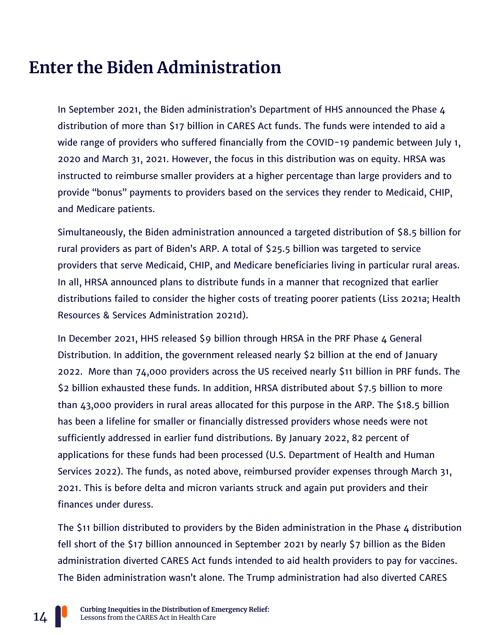## **Enter the Biden Administration**

In September 2021, the Biden administration's Department of HHS announced the Phase 4 distribution of more than \$17 billion in CARES Act funds. The funds were intended to aid a wide range of providers who suffered financially from the COVID-19 pandemic between July 1, 2020 and March 31, 2021. However, the focus in this distribution was on equity. HRSA was instructed to reimburse smaller providers at a higher percentage than large providers and to provide "bonus" payments to providers based on the services they render to Medicaid, CHIP, and Medicare patients.

Simultaneously, the Biden administration announced a targeted distribution of \$8.5 billion for rural providers as part of Biden's ARP. A total of \$25.5 billion was targeted to service providers that serve Medicaid, CHIP, and Medicare beneficiaries living in particular rural areas. In all, HRSA announced plans to distribute funds in a manner that recognized that earlier distributions failed to consider the higher costs of treating poorer patients (Liss 2021a; Health Resources & Services Administration 2021d).

In December 2021, HHS released \$9 billion through HRSA in the PRF Phase 4 General Distribution. In addition, the government released nearly \$2 billion at the end of January 2022. More than 74,000 providers across the US received nearly \$11 billion in PRF funds. The \$2 billion exhausted these funds. In addition, HRSA distributed about \$7.5 billion to more than 43,000 providers in rural areas allocated for this purpose in the ARP. The \$18.5 billion has been a lifeline for smaller or financially distressed providers whose needs were not sufficiently addressed in earlier fund distributions. By January 2022, 82 percent of applications for these funds had been processed (U.S. Department of Health and Human Services 2022). The funds, as noted above, reimbursed provider expenses through March 31, 2021. This is before delta and micron variants struck and again put providers and their finances under duress.

The \$11 billion distributed to providers by the Biden administration in the Phase 4 distribution fell short of the \$17 billion announced in September 2021 by nearly \$7 billion as the Biden administration diverted CARES Act funds intended to aid health providers to pay for vaccines. The Biden administration wasn't alone. The Trump administration had also diverted CARES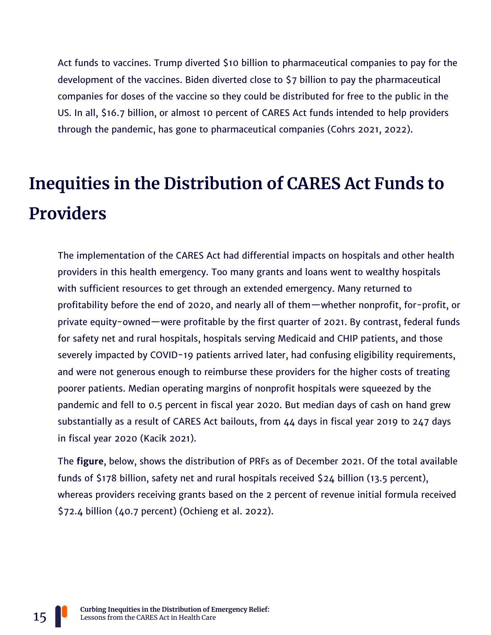Act funds to vaccines. Trump diverted \$10 billion to pharmaceutical companies to pay for the development of the vaccines. Biden diverted close to \$7 billion to pay the pharmaceutical companies for doses of the vaccine so they could be distributed for free to the public in the US. In all, \$16.7 billion, or almost 10 percent of CARES Act funds intended to help providers through the pandemic, has gone to pharmaceutical companies (Cohrs 2021, 2022).

## **Inequities in the Distribution of CARES Act Funds to Providers**

The implementation of the CARES Act had differential impacts on hospitals and other health providers in this health emergency. Too many grants and loans went to wealthy hospitals with sufficient resources to get through an extended emergency. Many returned to profitability before the end of 2020, and nearly all of them—whether nonprofit, for-profit, or private equity-owned—were profitable by the first quarter of 2021. By contrast, federal funds for safety net and rural hospitals, hospitals serving Medicaid and CHIP patients, and those severely impacted by COVID-19 patients arrived later, had confusing eligibility requirements, and were not generous enough to reimburse these providers for the higher costs of treating poorer patients. Median operating margins of nonprofit hospitals were squeezed by the pandemic and fell to 0.5 percent in fiscal year 2020. But median days of cash on hand grew substantially as a result of CARES Act bailouts, from 44 days in fiscal year 2019 to 247 days in fiscal year 2020 (Kacik 2021).

The **figure**, below, shows the distribution of PRFs as of December 2021. Of the total available funds of \$178 billion, safety net and rural hospitals received \$24 billion (13.5 percent), whereas providers receiving grants based on the 2 percent of revenue initial formula received \$72.4 billion (40.7 percent) (Ochieng et al. 2022).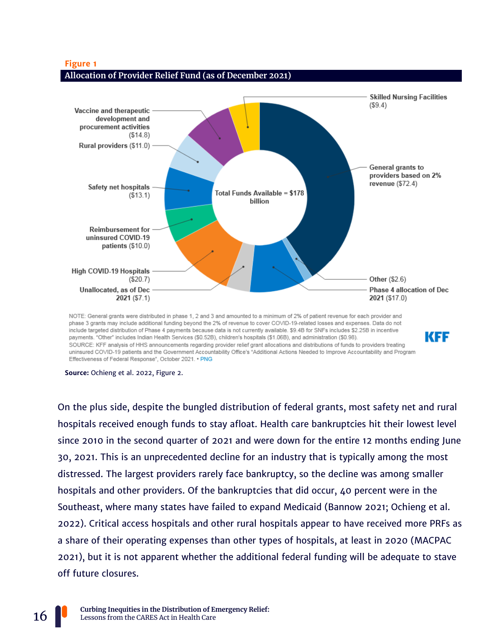

phase 3 grants may include additional funding beyond the 2% of revenue to cover COVID-19-related losses and expenses. Data do not include targeted distribution of Phase 4 payments because data is not currently available. \$9.4B for SNFs includes \$2.25B in incentive payments. "Other" includes Indian Health Services (\$0.52B), children's hospitals (\$1.06B), and administration (\$0.98). SOURCE: KFF analysis of HHS announcements regarding provider relief grant allocations and distributions of funds to providers treating uninsured COVID-19 patients and the Government Accountability Office's "Additional Actions Needed to Improve Accountability and Program Effectiveness of Federal Response", October 2021. . PNG

KFF

**Source:** Ochieng et al. 2022, Figure 2.

On the plus side, despite the bungled distribution of federal grants, most safety net and rural hospitals received enough funds to stay afloat. Health care bankruptcies hit their lowest level since 2010 in the second quarter of 2021 and were down for the entire 12 months ending June 30, 2021. This is an unprecedented decline for an industry that is typically among the most distressed. The largest providers rarely face bankruptcy, so the decline was among smaller hospitals and other providers. Of the bankruptcies that did occur, 40 percent were in the Southeast, where many states have failed to expand Medicaid (Bannow 2021; Ochieng et al. 2022). Critical access hospitals and other rural hospitals appear to have received more PRFs as a share of their operating expenses than other types of hospitals, at least in 2020 (MACPAC 2021), but it is not apparent whether the additional federal funding will be adequate to stave off future closures.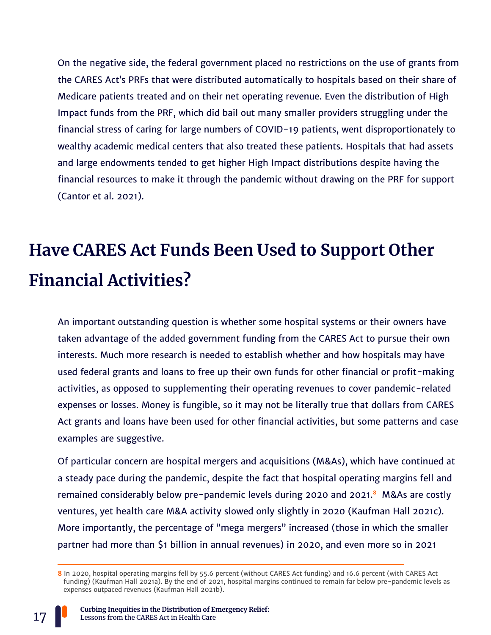On the negative side, the federal government placed no restrictions on the use of grants from the CARES Act's PRFs that were distributed automatically to hospitals based on their share of Medicare patients treated and on their net operating revenue. Even the distribution of High Impact funds from the PRF, which did bail out many smaller providers struggling under the financial stress of caring for large numbers of COVID-19 patients, went disproportionately to wealthy academic medical centers that also treated these patients. Hospitals that had assets and large endowments tended to get higher High Impact distributions despite having the financial resources to make it through the pandemic without drawing on the PRF for support (Cantor et al. 2021).

## **Have CARES Act Funds Been Used to Support Other Financial Activities?**

An important outstanding question is whether some hospital systems or their owners have taken advantage of the added government funding from the CARES Act to pursue their own interests. Much more research is needed to establish whether and how hospitals may have used federal grants and loans to free up their own funds for other financial or profit-making activities, as opposed to supplementing their operating revenues to cover pandemic-related expenses or losses. Money is fungible, so it may not be literally true that dollars from CARES Act grants and loans have been used for other financial activities, but some patterns and case examples are suggestive.

Of particular concern are hospital mergers and acquisitions (M&As), which have continued at a steady pace during the pandemic, despite the fact that hospital operating margins fell and remained considerably below pre-pandemic levels during 2020 and 2021.**<sup>8</sup>** M&As are costly ventures, yet health care M&A activity slowed only slightly in 2020 (Kaufman Hall 2021c). More importantly, the percentage of "mega mergers" increased (those in which the smaller partner had more than \$1 billion in annual revenues) in 2020, and even more so in 2021

**<sup>8</sup>** In 2020, hospital operating margins fell by 55.6 percent (without CARES Act funding) and 16.6 percent (with CARES Act funding) (Kaufman Hall 2021a). By the end of 2021, hospital margins continued to remain far below pre-pandemic levels as expenses outpaced revenues (Kaufman Hall 2021b).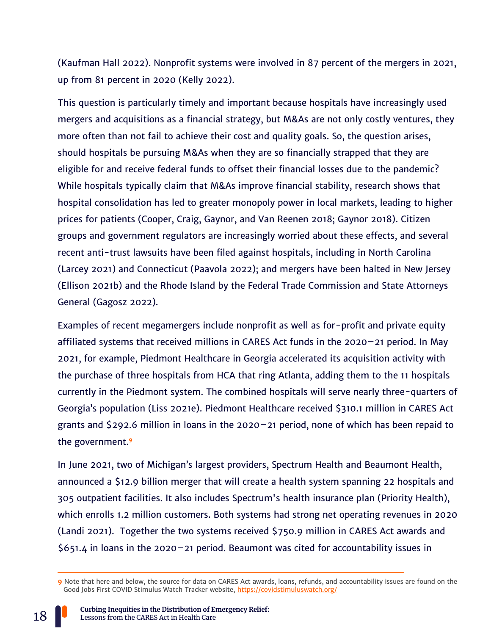(Kaufman Hall 2022). Nonprofit systems were involved in 87 percent of the mergers in 2021, up from 81 percent in 2020 (Kelly 2022).

This question is particularly timely and important because hospitals have increasingly used mergers and acquisitions as a financial strategy, but M&As are not only costly ventures, they more often than not fail to achieve their cost and quality goals. So, the question arises, should hospitals be pursuing M&As when they are so financially strapped that they are eligible for and receive federal funds to offset their financial losses due to the pandemic? While hospitals typically claim that M&As improve financial stability, research shows that hospital consolidation has led to greater monopoly power in local markets, leading to higher prices for patients (Cooper, Craig, Gaynor, and Van Reenen 2018; Gaynor 2018). Citizen groups and government regulators are increasingly worried about these effects, and several recent anti-trust lawsuits have been filed against hospitals, including in North Carolina (Larcey 2021) and Connecticut (Paavola 2022); and mergers have been halted in New Jersey (Ellison 2021b) and the Rhode Island by the Federal Trade Commission and State Attorneys General (Gagosz 2022).

Examples of recent megamergers include nonprofit as well as for-profit and private equity affiliated systems that received millions in CARES Act funds in the 2020–21 period. In May 2021, for example, Piedmont Healthcare in Georgia accelerated its acquisition activity with the purchase of three hospitals from HCA that ring Atlanta, adding them to the 11 hospitals currently in the Piedmont system. The combined hospitals will serve nearly three-quarters of Georgia's population (Liss 2021e). Piedmont Healthcare received \$310.1 million in CARES Act grants and \$292.6 million in loans in the 2020–21 period, none of which has been repaid to the government.**<sup>9</sup>**

In June 2021, two of Michigan's largest providers, Spectrum Health and Beaumont Health, announced a \$12.9 billion merger that will create a health system spanning 22 hospitals and 305 outpatient facilities. It also includes Spectrum's health insurance plan (Priority Health), which enrolls 1.2 million customers. Both systems had strong net operating revenues in 2020 (Landi 2021). Together the two systems received \$750.9 million in CARES Act awards and \$651.4 in loans in the 2020–21 period. Beaumont was cited for accountability issues in

**<sup>9</sup>** Note that here and below, the source for data on CARES Act awards, loans, refunds, and accountability issues are found on the Good Jobs First COVID Stimulus Watch Tracker website,<https://covidstimuluswatch.org/>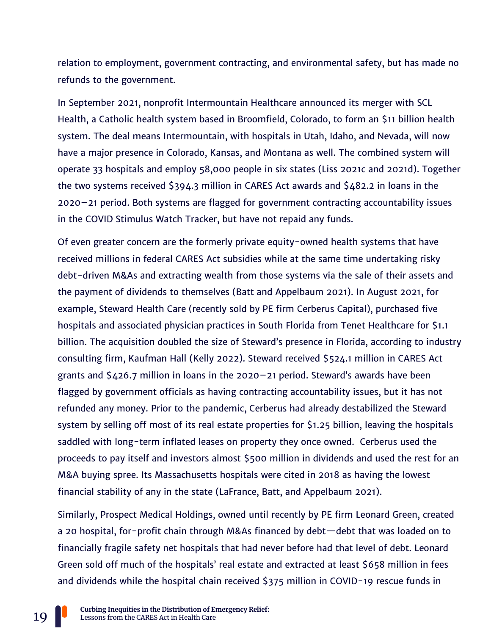relation to employment, government contracting, and environmental safety, but has made no refunds to the government.

In September 2021, nonprofit Intermountain Healthcare announced its merger with SCL Health, a Catholic health system based in Broomfield, Colorado, to form an \$11 billion health system. The deal means Intermountain, with hospitals in Utah, Idaho, and Nevada, will now have a major presence in Colorado, Kansas, and Montana as well. The combined system will operate 33 hospitals and employ 58,000 people in six states (Liss 2021c and 2021d). Together the two systems received \$394.3 million in CARES Act awards and \$482.2 in loans in the 2020–21 period. Both systems are flagged for government contracting accountability issues in the COVID Stimulus Watch Tracker, but have not repaid any funds.

Of even greater concern are the formerly private equity-owned health systems that have received millions in federal CARES Act subsidies while at the same time undertaking risky debt-driven M&As and extracting wealth from those systems via the sale of their assets and the payment of dividends to themselves (Batt and Appelbaum 2021). In August 2021, for example, Steward Health Care (recently sold by PE firm Cerberus Capital), purchased five hospitals and associated physician practices in South Florida from Tenet Healthcare for \$1.1 billion. The acquisition doubled the size of Steward's presence in Florida, according to industry consulting firm, Kaufman Hall (Kelly 2022). Steward received \$524.1 million in CARES Act grants and  $$426.7$  million in loans in the 2020–21 period. Steward's awards have been flagged by government officials as having contracting accountability issues, but it has not refunded any money. Prior to the pandemic, Cerberus had already destabilized the Steward system by selling off most of its real estate properties for \$1.25 billion, leaving the hospitals saddled with long-term inflated leases on property they once owned. Cerberus used the proceeds to pay itself and investors almost \$500 million in dividends and used the rest for an M&A buying spree. Its Massachusetts hospitals were cited in 2018 as having the lowest financial stability of any in the state (LaFrance, Batt, and Appelbaum 2021).

Similarly, Prospect Medical Holdings, owned until recently by PE firm Leonard Green, created a 20 hospital, for-profit chain through M&As financed by debt—debt that was loaded on to financially fragile safety net hospitals that had never before had that level of debt. Leonard Green sold off much of the hospitals' real estate and extracted at least \$658 million in fees and dividends while the hospital chain received \$375 million in COVID-19 rescue funds in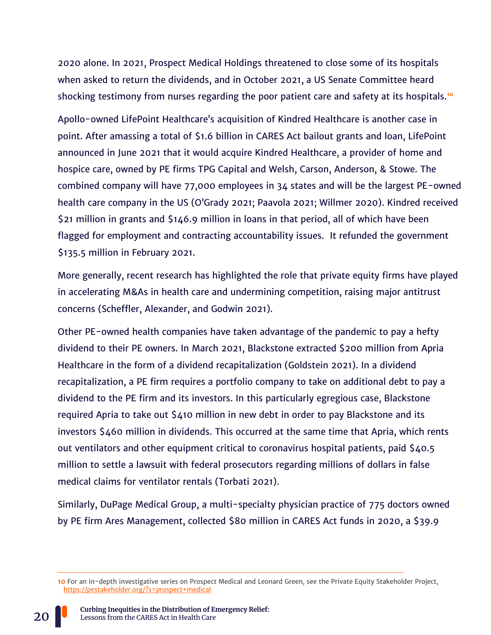2020 alone. In 2021, Prospect Medical Holdings threatened to close some of its hospitals when asked to return the dividends, and in October 2021, a US Senate Committee heard shocking testimony from nurses regarding the poor patient care and safety at its hospitals.**<sup>10</sup>**

Apollo-owned LifePoint Healthcare's acquisition of Kindred Healthcare is another case in point. After amassing a total of \$1.6 billion in CARES Act bailout grants and loan, LifePoint announced in June 2021 that it would acquire Kindred Healthcare, a provider of home and hospice care, owned by PE firms TPG Capital and Welsh, Carson, Anderson, & Stowe. The combined company will have 77,000 employees in 34 states and will be the largest PE-owned health care company in the US (O'Grady 2021; Paavola 2021; Willmer 2020). Kindred received \$21 million in grants and \$146.9 million in loans in that period, all of which have been flagged for employment and contracting accountability issues. It refunded the government \$135.5 million in February 2021.

More generally, recent research has highlighted the role that private equity firms have played in accelerating M&As in health care and undermining competition, raising major antitrust concerns (Scheffler, Alexander, and Godwin 2021).

Other PE-owned health companies have taken advantage of the pandemic to pay a hefty dividend to their PE owners. In March 2021, Blackstone extracted \$200 million from Apria Healthcare in the form of a dividend recapitalization (Goldstein 2021). In a dividend recapitalization, a PE firm requires a portfolio company to take on additional debt to pay a dividend to the PE firm and its investors. In this particularly egregious case, Blackstone required Apria to take out \$410 million in new debt in order to pay Blackstone and its investors \$460 million in dividends. This occurred at the same time that Apria, which rents out ventilators and other equipment critical to coronavirus hospital patients, paid \$40.5 million to settle a lawsuit with federal prosecutors regarding millions of dollars in false medical claims for ventilator rentals (Torbati 2021).

Similarly, DuPage Medical Group, a multi-specialty physician practice of 775 doctors owned by PE firm Ares Management, collected \$80 million in CARES Act funds in 2020, a \$39.9



**<sup>10</sup>** For an in-depth investigative series on Prospect Medical and Leonard Green, see the Private Equity Stakeholder Project, <https://pestakeholder.org/?s=prospect+medical>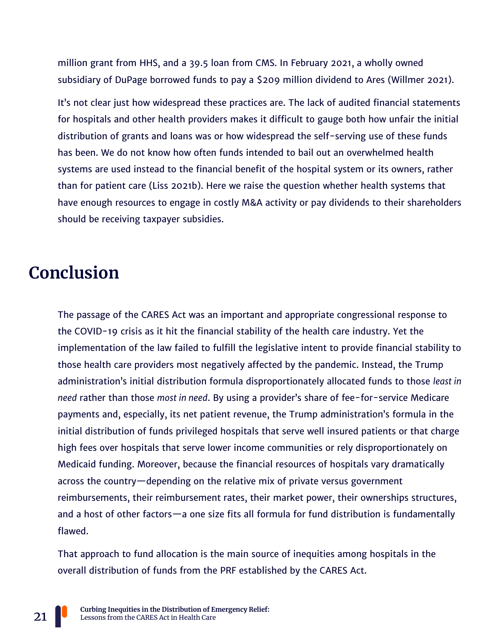million grant from HHS, and a 39.5 loan from CMS. In February 2021, a wholly owned subsidiary of DuPage borrowed funds to pay a \$209 million dividend to Ares (Willmer 2021).

It's not clear just how widespread these practices are. The lack of audited financial statements for hospitals and other health providers makes it difficult to gauge both how unfair the initial distribution of grants and loans was or how widespread the self-serving use of these funds has been. We do not know how often funds intended to bail out an overwhelmed health systems are used instead to the financial benefit of the hospital system or its owners, rather than for patient care (Liss 2021b). Here we raise the question whether health systems that have enough resources to engage in costly M&A activity or pay dividends to their shareholders should be receiving taxpayer subsidies.

## **Conclusion**

The passage of the CARES Act was an important and appropriate congressional response to the COVID-19 crisis as it hit the financial stability of the health care industry. Yet the implementation of the law failed to fulfill the legislative intent to provide financial stability to those health care providers most negatively affected by the pandemic. Instead, the Trump administration's initial distribution formula disproportionately allocated funds to those *least in need* rather than those *most in need*. By using a provider's share of fee-for-service Medicare payments and, especially, its net patient revenue, the Trump administration's formula in the initial distribution of funds privileged hospitals that serve well insured patients or that charge high fees over hospitals that serve lower income communities or rely disproportionately on Medicaid funding. Moreover, because the financial resources of hospitals vary dramatically across the country—depending on the relative mix of private versus government reimbursements, their reimbursement rates, their market power, their ownerships structures, and a host of other factors—a one size fits all formula for fund distribution is fundamentally flawed.

That approach to fund allocation is the main source of inequities among hospitals in the overall distribution of funds from the PRF established by the CARES Act.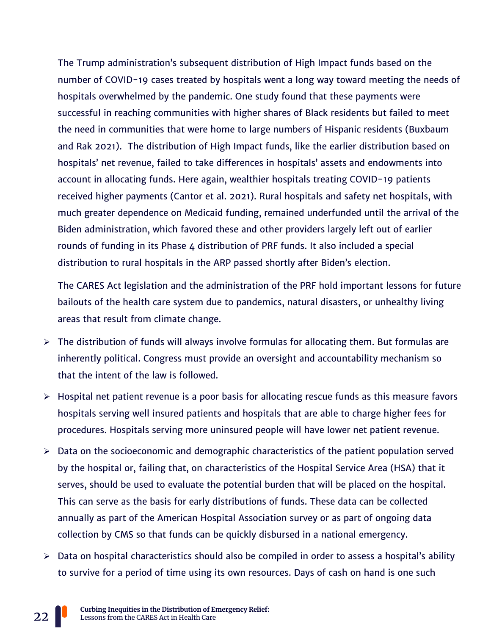The Trump administration's subsequent distribution of High Impact funds based on the number of COVID-19 cases treated by hospitals went a long way toward meeting the needs of hospitals overwhelmed by the pandemic. One study found that these payments were successful in reaching communities with higher shares of Black residents but failed to meet the need in communities that were home to large numbers of Hispanic residents (Buxbaum and Rak 2021). The distribution of High Impact funds, like the earlier distribution based on hospitals' net revenue, failed to take differences in hospitals' assets and endowments into account in allocating funds. Here again, wealthier hospitals treating COVID-19 patients received higher payments (Cantor et al. 2021). Rural hospitals and safety net hospitals, with much greater dependence on Medicaid funding, remained underfunded until the arrival of the Biden administration, which favored these and other providers largely left out of earlier rounds of funding in its Phase 4 distribution of PRF funds. It also included a special distribution to rural hospitals in the ARP passed shortly after Biden's election.

The CARES Act legislation and the administration of the PRF hold important lessons for future bailouts of the health care system due to pandemics, natural disasters, or unhealthy living areas that result from climate change.

- $\triangleright$  The distribution of funds will always involve formulas for allocating them. But formulas are inherently political. Congress must provide an oversight and accountability mechanism so that the intent of the law is followed.
- ➢ Hospital net patient revenue is a poor basis for allocating rescue funds as this measure favors hospitals serving well insured patients and hospitals that are able to charge higher fees for procedures. Hospitals serving more uninsured people will have lower net patient revenue.
- $\triangleright$  Data on the socioeconomic and demographic characteristics of the patient population served by the hospital or, failing that, on characteristics of the Hospital Service Area (HSA) that it serves, should be used to evaluate the potential burden that will be placed on the hospital. This can serve as the basis for early distributions of funds. These data can be collected annually as part of the American Hospital Association survey or as part of ongoing data collection by CMS so that funds can be quickly disbursed in a national emergency.
- ➢ Data on hospital characteristics should also be compiled in order to assess a hospital's ability to survive for a period of time using its own resources. Days of cash on hand is one such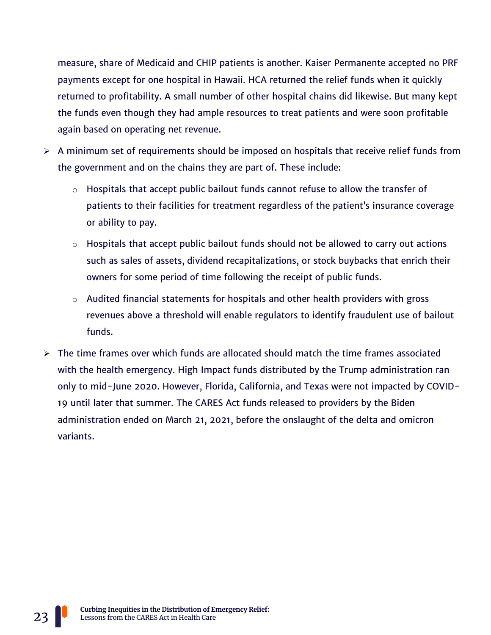measure, share of Medicaid and CHIP patients is another. Kaiser Permanente accepted no PRF payments except for one hospital in Hawaii. HCA returned the relief funds when it quickly returned to profitability. A small number of other hospital chains did likewise. But many kept the funds even though they had ample resources to treat patients and were soon profitable again based on operating net revenue.

- $\triangleright$  A minimum set of requirements should be imposed on hospitals that receive relief funds from the government and on the chains they are part of. These include:
	- $\circ$  Hospitals that accept public bailout funds cannot refuse to allow the transfer of patients to their facilities for treatment regardless of the patient's insurance coverage or ability to pay.
	- $\circ$  Hospitals that accept public bailout funds should not be allowed to carry out actions such as sales of assets, dividend recapitalizations, or stock buybacks that enrich their owners for some period of time following the receipt of public funds.
	- $\circ$  Audited financial statements for hospitals and other health providers with gross revenues above a threshold will enable regulators to identify fraudulent use of bailout funds.
- $\triangleright$  The time frames over which funds are allocated should match the time frames associated with the health emergency. High Impact funds distributed by the Trump administration ran only to mid-June 2020. However, Florida, California, and Texas were not impacted by COVID-19 until later that summer. The CARES Act funds released to providers by the Biden administration ended on March 21, 2021, before the onslaught of the delta and omicron variants.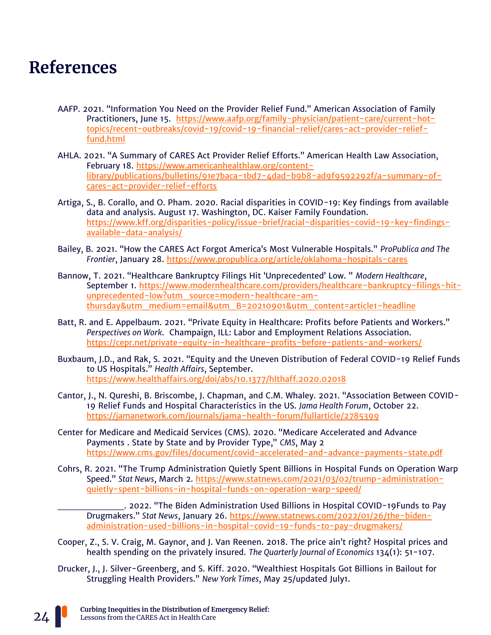## **References**

- AAFP. 2021. "Information You Need on the Provider Relief Fund." American Association of Family Practitioners, June 15. [https://www.aafp.org/family-physician/patient-care/current-hot](https://www.aafp.org/family-physician/patient-care/current-hot-topics/recent-outbreaks/covid-19/covid-19-financial-relief/cares-act-provider-relief-fund.html)[topics/recent-outbreaks/covid-19/covid-19-financial-relief/cares-act-provider-relief](https://www.aafp.org/family-physician/patient-care/current-hot-topics/recent-outbreaks/covid-19/covid-19-financial-relief/cares-act-provider-relief-fund.html)[fund.html](https://www.aafp.org/family-physician/patient-care/current-hot-topics/recent-outbreaks/covid-19/covid-19-financial-relief/cares-act-provider-relief-fund.html)
- AHLA. 2021. "A Summary of CARES Act Provider Relief Efforts." American Health Law Association, February 18. [https://www.americanhealthlaw.org/content](https://www.americanhealthlaw.org/content-library/publications/bulletins/91e7baca-1bd7-4dad-b9b8-ad9f9592292f/a-summary-of-cares-act-provider-relief-efforts)[library/publications/bulletins/91e7baca-1bd7-4dad-b9b8-ad9f9592292f/a-summary-of](https://www.americanhealthlaw.org/content-library/publications/bulletins/91e7baca-1bd7-4dad-b9b8-ad9f9592292f/a-summary-of-cares-act-provider-relief-efforts)[cares-act-provider-relief-efforts](https://www.americanhealthlaw.org/content-library/publications/bulletins/91e7baca-1bd7-4dad-b9b8-ad9f9592292f/a-summary-of-cares-act-provider-relief-efforts)
- Artiga, S., B. Corallo, and O. Pham. 2020. Racial disparities in COVID-19: Key findings from available data and analysis. August 17. Washington, DC. Kaiser Family Foundation. [https://www.kff.org/disparities-policy/issue-brief/racial-disparities-covid-19-key-findings](https://www.kff.org/disparities-policy/issue-brief/racial-disparities-covid-19-key-findings-available-data-analysis/)[available-data-analysis/](https://www.kff.org/disparities-policy/issue-brief/racial-disparities-covid-19-key-findings-available-data-analysis/)
- Bailey, B. 2021. "How the CARES Act Forgot America's Most Vulnerable Hospitals." *ProPublica and The Frontier*, January 28.<https://www.propublica.org/article/oklahoma-hospitals-cares>
- Bannow, T. 2021. "Healthcare Bankruptcy Filings Hit 'Unprecedented' Low. " *Modern Healthcare*, September 1. [https://www.modernhealthcare.com/providers/healthcare-bankruptcy-filings-hit](https://www.modernhealthcare.com/providers/healthcare-bankruptcy-filings-hit-unprecedented-low?utm_source=modern-healthcare-am-thursday&utm_medium=email&utm_B=20210901&utm_content=article1-headline)[unprecedented-low?utm\\_source=modern-healthcare-am](https://www.modernhealthcare.com/providers/healthcare-bankruptcy-filings-hit-unprecedented-low?utm_source=modern-healthcare-am-thursday&utm_medium=email&utm_B=20210901&utm_content=article1-headline)[thursday&utm\\_medium=email&utm\\_B=20210901&utm\\_content=article1-headline](https://www.modernhealthcare.com/providers/healthcare-bankruptcy-filings-hit-unprecedented-low?utm_source=modern-healthcare-am-thursday&utm_medium=email&utm_B=20210901&utm_content=article1-headline)
- Batt, R. and E. Appelbaum. 2021. "Private Equity in Healthcare: Profits before Patients and Workers." *Perspectives on Work*. Champaign, ILL: Labor and Employment Relations Association. <https://cepr.net/private-equity-in-healthcare-profits-before-patients-and-workers/>
- Buxbaum, J.D., and Rak, S. 2021. "Equity and the Uneven Distribution of Federal COVID-19 Relief Funds to US Hospitals." *Health Affairs*, September. <https://www.healthaffairs.org/doi/abs/10.1377/hlthaff.2020.02018>
- Cantor, J., N. Qureshi, B. Briscombe, J. Chapman, and C.M. Whaley. 2021. "Association Between COVID-19 Relief Funds and Hospital Characteristics in the US. *Jama Health Forum*, October 22. <https://jamanetwork.com/journals/jama-health-forum/fullarticle/2785399>
- Center for Medicare and Medicaid Services (CMS). 2020. "Medicare Accelerated and Advance Payments . State by State and by Provider Type," *CMS*, May 2 <https://www.cms.gov/files/document/covid-accelerated-and-advance-payments-state.pdf>
- Cohrs, R. 2021. "The Trump Administration Quietly Spent Billions in Hospital Funds on Operation Warp Speed." *Stat News*, March 2. [https://www.statnews.com/2021/03/02/trump-administration](https://www.statnews.com/2021/03/02/trump-administration-quietly-spent-billions-in-hospital-funds-on-operation-warp-speed/)[quietly-spent-billions-in-hospital-funds-on-operation-warp-speed/](https://www.statnews.com/2021/03/02/trump-administration-quietly-spent-billions-in-hospital-funds-on-operation-warp-speed/)
	- \_\_\_\_\_\_\_\_\_\_. 2022. "The Biden Administration Used Billions in Hospital COVID-19Funds to Pay Drugmakers." *Stat News*, January 26. [https://www.statnews.com/2022/01/26/the-biden](https://www.statnews.com/2022/01/26/the-biden-administration-used-billions-in-hospital-covid-19-funds-to-pay-drugmakers/)[administration-used-billions-in-hospital-covid-19-funds-to-pay-drugmakers/](https://www.statnews.com/2022/01/26/the-biden-administration-used-billions-in-hospital-covid-19-funds-to-pay-drugmakers/)
- Cooper, Z., S. V. Craig, M. Gaynor, and J. Van Reenen. 2018. The price ain't right? Hospital prices and health spending on the privately insured. *The Quarterly Journal of Economics* 134(1): 51-107.
- Drucker, J., J. Silver-Greenberg, and S. Kiff. 2020. "Wealthiest Hospitals Got Billions in Bailout for Struggling Health Providers." *New York Times*, May 25/updated July1.

**Curbing Inequities in the Distribution of Emergency Relief:** Lessons from the CARES Act in Health Care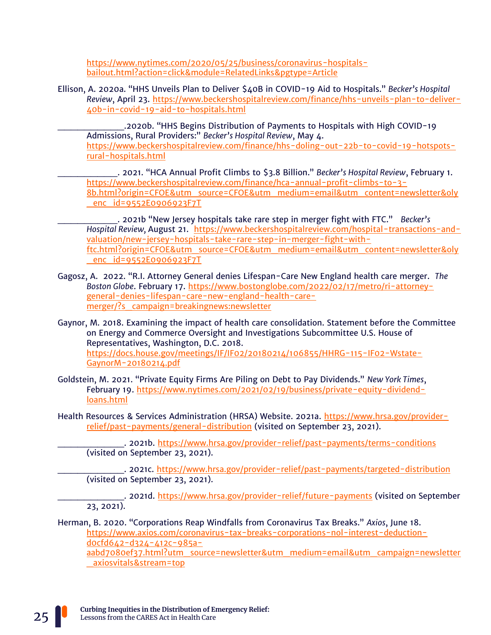[https://www.nytimes.com/2020/05/25/business/coronavirus-hospitals](https://www.nytimes.com/2020/05/25/business/coronavirus-hospitals-bailout.html?action=click&module=RelatedLinks&pgtype=Article)[bailout.html?action=click&module=RelatedLinks&pgtype=Article](https://www.nytimes.com/2020/05/25/business/coronavirus-hospitals-bailout.html?action=click&module=RelatedLinks&pgtype=Article) 

Ellison, A. 2020a. "HHS Unveils Plan to Deliver \$40B in COVID-19 Aid to Hospitals." *Becker's Hospital Review*, April 23. [https://www.beckershospitalreview.com/finance/hhs-unveils-plan-to-deliver-](https://www.beckershospitalreview.com/finance/hhs-unveils-plan-to-deliver-40b-in-covid-19-aid-to-hospitals.html)[40b-in-covid-19-aid-to-hospitals.html](https://www.beckershospitalreview.com/finance/hhs-unveils-plan-to-deliver-40b-in-covid-19-aid-to-hospitals.html)

.2020b. "HHS Begins Distribution of Payments to Hospitals with High COVID-19 Admissions, Rural Providers:" *Becker's Hospital Review*, May 4. [https://www.beckershospitalreview.com/finance/hhs-doling-out-22b-to-covid-19-hotspots](https://www.beckershospitalreview.com/finance/hhs-doling-out-22b-to-covid-19-hotspots-rural-hospitals.html)[rural-hospitals.html](https://www.beckershospitalreview.com/finance/hhs-doling-out-22b-to-covid-19-hotspots-rural-hospitals.html) 

\_\_\_\_\_\_\_\_\_. 2021. "HCA Annual Profit Climbs to \$3.8 Billion." *Becker's Hospital Review*, February 1. [https://www.beckershospitalreview.com/finance/hca-annual-profit-climbs-to-3-](https://www.beckershospitalreview.com/finance/hca-annual-profit-climbs-to-3-8b.html?origin=CFOE&utm_source=CFOE&utm_medium=email&utm_content=newsletter&oly_enc_id=9552E0906923F7T) [8b.html?origin=CFOE&utm\\_source=CFOE&utm\\_medium=email&utm\\_content=newsletter&oly](https://www.beckershospitalreview.com/finance/hca-annual-profit-climbs-to-3-8b.html?origin=CFOE&utm_source=CFOE&utm_medium=email&utm_content=newsletter&oly_enc_id=9552E0906923F7T) [\\_enc\\_id=9552E0906923F7T](https://www.beckershospitalreview.com/finance/hca-annual-profit-climbs-to-3-8b.html?origin=CFOE&utm_source=CFOE&utm_medium=email&utm_content=newsletter&oly_enc_id=9552E0906923F7T)

\_\_\_\_\_\_\_\_\_. 2021b "New Jersey hospitals take rare step in merger fight with FTC." *Becker's Hospital Review,* August 21. [https://www.beckershospitalreview.com/hospital-transactions-and](https://www.beckershospitalreview.com/hospital-transactions-and-valuation/new-jersey-hospitals-take-rare-step-in-merger-fight-with-ftc.html?origin=CFOE&utm_source=CFOE&utm_medium=email&utm_content=newsletter&oly_enc_id=9552E0906923F7T)[valuation/new-jersey-hospitals-take-rare-step-in-merger-fight-with](https://www.beckershospitalreview.com/hospital-transactions-and-valuation/new-jersey-hospitals-take-rare-step-in-merger-fight-with-ftc.html?origin=CFOE&utm_source=CFOE&utm_medium=email&utm_content=newsletter&oly_enc_id=9552E0906923F7T)[ftc.html?origin=CFOE&utm\\_source=CFOE&utm\\_medium=email&utm\\_content=newsletter&oly](https://www.beckershospitalreview.com/hospital-transactions-and-valuation/new-jersey-hospitals-take-rare-step-in-merger-fight-with-ftc.html?origin=CFOE&utm_source=CFOE&utm_medium=email&utm_content=newsletter&oly_enc_id=9552E0906923F7T) [\\_enc\\_id=9552E0906923F7T](https://www.beckershospitalreview.com/hospital-transactions-and-valuation/new-jersey-hospitals-take-rare-step-in-merger-fight-with-ftc.html?origin=CFOE&utm_source=CFOE&utm_medium=email&utm_content=newsletter&oly_enc_id=9552E0906923F7T)

Gagosz, A. 2022. "R.I. Attorney General denies Lifespan-Care New England health care merger. *The Boston Globe*. February 17. [https://www.bostonglobe.com/2022/02/17/metro/ri-attorney](https://www.bostonglobe.com/2022/02/17/metro/ri-attorney-general-denies-lifespan-care-new-england-health-care-merger/?s_campaign=breakingnews:newsletter)[general-denies-lifespan-care-new-england-health-care](https://www.bostonglobe.com/2022/02/17/metro/ri-attorney-general-denies-lifespan-care-new-england-health-care-merger/?s_campaign=breakingnews:newsletter)[merger/?s\\_campaign=breakingnews:newsletter](https://www.bostonglobe.com/2022/02/17/metro/ri-attorney-general-denies-lifespan-care-new-england-health-care-merger/?s_campaign=breakingnews:newsletter)

Gaynor, M. 2018. Examining the impact of health care consolidation. Statement before the Committee on Energy and Commerce Oversight and Investigations Subcommittee U.S. House of Representatives, Washington, D.C. 2018. [https://docs.house.gov/meetings/IF/IF02/20180214/106855/HHRG-115-IF02-Wstate-](https://docs.house.gov/meetings/IF/IF02/20180214/106855/HHRG-115-IF02-Wstate-GaynorM-20180214.pdf)[GaynorM-20180214.pdf](https://docs.house.gov/meetings/IF/IF02/20180214/106855/HHRG-115-IF02-Wstate-GaynorM-20180214.pdf)

Goldstein, M. 2021. "Private Equity Firms Are Piling on Debt to Pay Dividends." *New York Times*, February 19. [https://www.nytimes.com/2021/02/19/business/private-equity-dividend](https://www.nytimes.com/2021/02/19/business/private-equity-dividend-loans.html)[loans.html](https://www.nytimes.com/2021/02/19/business/private-equity-dividend-loans.html)

Health Resources & Services Administration (HRSA) Website. 2021a. [https://www.hrsa.gov/provider](https://www.hrsa.gov/provider-relief/past-payments/general-distribution)[relief/past-payments/general-distribution](https://www.hrsa.gov/provider-relief/past-payments/general-distribution) (visited on September 23, 2021).

. 2021b.<https://www.hrsa.gov/provider-relief/past-payments/terms-conditions> (visited on September 23, 2021).

\_. 2021c.<https://www.hrsa.gov/provider-relief/past-payments/targeted-distribution> (visited on September 23, 2021).

\_\_\_. 2021d. <u>https://www.hrsa.gov/provider-relief/future-payments</u> (visited on September 23, 2021).

Herman, B. 2020. "Corporations Reap Windfalls from Coronavirus Tax Breaks." *Axios*, June 18. [https://www.axios.com/coronavirus-tax-breaks-corporations-nol-interest-deduction](https://www.axios.com/coronavirus-tax-breaks-corporations-nol-interest-deduction-d0cfd642-d324-412c-985a-aabd7080ef37.html?utm_source=newsletter&utm_medium=email&utm_campaign=newsletter_axiosvitals&stream=top)[d0cfd642-d324-412c-985a](https://www.axios.com/coronavirus-tax-breaks-corporations-nol-interest-deduction-d0cfd642-d324-412c-985a-aabd7080ef37.html?utm_source=newsletter&utm_medium=email&utm_campaign=newsletter_axiosvitals&stream=top)[aabd7080ef37.html?utm\\_source=newsletter&utm\\_medium=email&utm\\_campaign=newsletter](https://www.axios.com/coronavirus-tax-breaks-corporations-nol-interest-deduction-d0cfd642-d324-412c-985a-aabd7080ef37.html?utm_source=newsletter&utm_medium=email&utm_campaign=newsletter_axiosvitals&stream=top)

[\\_axiosvitals&stream=top](https://www.axios.com/coronavirus-tax-breaks-corporations-nol-interest-deduction-d0cfd642-d324-412c-985a-aabd7080ef37.html?utm_source=newsletter&utm_medium=email&utm_campaign=newsletter_axiosvitals&stream=top)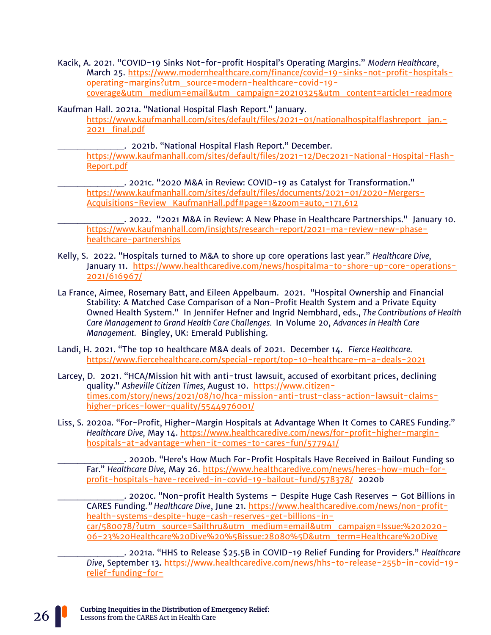Kacik, A. 2021. "COVID-19 Sinks Not-for-profit Hospital's Operating Margins." *Modern Healthcare*, March 25. [https://www.modernhealthcare.com/finance/covid-19-sinks-not-profit-hospitals](https://www.modernhealthcare.com/finance/covid-19-sinks-not-profit-hospitals-operating-margins?utm_source=modern-healthcare-covid-19-coverage&utm_medium=email&utm_campaign=20210325&utm_content=article1-readmore)[operating-margins?utm\\_source=modern-healthcare-covid-19](https://www.modernhealthcare.com/finance/covid-19-sinks-not-profit-hospitals-operating-margins?utm_source=modern-healthcare-covid-19-coverage&utm_medium=email&utm_campaign=20210325&utm_content=article1-readmore) [coverage&utm\\_medium=email&utm\\_campaign=20210325&utm\\_content=article1-readmore](https://www.modernhealthcare.com/finance/covid-19-sinks-not-profit-hospitals-operating-margins?utm_source=modern-healthcare-covid-19-coverage&utm_medium=email&utm_campaign=20210325&utm_content=article1-readmore)

Kaufman Hall. 2021a. "National Hospital Flash Report." January.

[https://www.kaufmanhall.com/sites/default/files/2021-01/nationalhospitalflashreport\\_jan.-](https://www.kaufmanhall.com/sites/default/files/2021-01/nationalhospitalflashreport_jan.-2021_final.pdf) [2021\\_final.pdf](https://www.kaufmanhall.com/sites/default/files/2021-01/nationalhospitalflashreport_jan.-2021_final.pdf)

\_\_\_\_\_\_\_\_\_\_. 2021b. "National Hospital Flash Report." December. [https://www.kaufmanhall.com/sites/default/files/2021-12/Dec2021-National-Hospital-Flash-](https://www.kaufmanhall.com/sites/default/files/2021-12/Dec2021-National-Hospital-Flash-Report.pdf)[Report.pdf](https://www.kaufmanhall.com/sites/default/files/2021-12/Dec2021-National-Hospital-Flash-Report.pdf)

\_\_\_\_\_\_\_\_\_\_. 2021c. "2020 M&A in Review: COVID-19 as Catalyst for Transformation." [https://www.kaufmanhall.com/sites/default/files/documents/2021-01/2020-Mergers-](https://www.kaufmanhall.com/sites/default/files/documents/2021-01/2020-Mergers-Acquisitions-Review_KaufmanHall.pdf#page=1&zoom=auto,-171,612)[Acquisitions-Review\\_KaufmanHall.pdf#page=1&zoom=auto,-171,612](https://www.kaufmanhall.com/sites/default/files/documents/2021-01/2020-Mergers-Acquisitions-Review_KaufmanHall.pdf#page=1&zoom=auto,-171,612)

\_\_\_\_\_\_\_\_\_\_. 2022. "2021 M&A in Review: A New Phase in Healthcare Partnerships." January 10. [https://www.kaufmanhall.com/insights/research-report/2021-ma-review-new-phase](https://www.kaufmanhall.com/insights/research-report/2021-ma-review-new-phase-healthcare-partnerships)[healthcare-partnerships](https://www.kaufmanhall.com/insights/research-report/2021-ma-review-new-phase-healthcare-partnerships)

- Kelly, S. 2022. "Hospitals turned to M&A to shore up core operations last year." *Healthcare Dive,* January 11. [https://www.healthcaredive.com/news/hospitalma-to-shore-up-core-operations-](https://www.healthcaredive.com/news/hospitalma-to-shore-up-core-operations-2021/616967/)[2021/616967/](https://www.healthcaredive.com/news/hospitalma-to-shore-up-core-operations-2021/616967/)
- La France, Aimee, Rosemary Batt, and Eileen Appelbaum. 2021. "Hospital Ownership and Financial Stability: A Matched Case Comparison of a Non-Profit Health System and a Private Equity Owned Health System." In Jennifer Hefner and Ingrid Nembhard, eds., *The Contributions of Health Care Management to Grand Health Care Challenges.* In Volume 20, *Advances in Health Care Management.* Bingley, UK: Emerald Publishing.
- Landi, H. 2021. "The top 10 healthcare M&A deals of 2021. December 14. *Fierce Healthcare.*  <https://www.fiercehealthcare.com/special-report/top-10-healthcare-m-a-deals-2021>
- Larcey, D. 2021. "HCA/Mission hit with anti-trust lawsuit, accused of exorbitant prices, declining quality." *Asheville Citizen Times,* August 10. [https://www.citizen](https://www.citizen-times.com/story/news/2021/08/10/hca-mission-anti-trust-class-action-lawsuit-claims-higher-prices-lower-quality/5544976001/)[times.com/story/news/2021/08/10/hca-mission-anti-trust-class-action-lawsuit-claims](https://www.citizen-times.com/story/news/2021/08/10/hca-mission-anti-trust-class-action-lawsuit-claims-higher-prices-lower-quality/5544976001/)[higher-prices-lower-quality/5544976001/](https://www.citizen-times.com/story/news/2021/08/10/hca-mission-anti-trust-class-action-lawsuit-claims-higher-prices-lower-quality/5544976001/)
- Liss, S. 2020a. "For-Profit, Higher-Margin Hospitals at Advantage When It Comes to CARES Funding." *Healthcare Dive,* May 14. [https://www.healthcaredive.com/news/for-profit-higher-margin](https://www.healthcaredive.com/news/for-profit-higher-margin-hospitals-at-advantage-when-it-comes-to-cares-fun/577941/)[hospitals-at-advantage-when-it-comes-to-cares-fun/577941/](https://www.healthcaredive.com/news/for-profit-higher-margin-hospitals-at-advantage-when-it-comes-to-cares-fun/577941/)

\_\_\_\_\_\_\_\_\_\_. 2020b. "Here's How Much For-Profit Hospitals Have Received in Bailout Funding so Far." *Healthcare Dive,* May 26. [https://www.healthcaredive.com/news/heres-how-much-for](https://www.healthcaredive.com/news/heres-how-much-for-profit-hospitals-have-received-in-covid-19-bailout-fund/578378/)[profit-hospitals-have-received-in-covid-19-bailout-fund/578378/](https://www.healthcaredive.com/news/heres-how-much-for-profit-hospitals-have-received-in-covid-19-bailout-fund/578378/) 2020b

\_\_\_\_\_\_\_\_\_\_. 2020c. "Non-profit Health Systems – Despite Huge Cash Reserves – Got Billions in CARES Funding*." Healthcare Dive*, June 21. [https://www.healthcaredive.com/news/non-profit](https://www.healthcaredive.com/news/nonprofit-health-systems-despite-huge-cash-reserves-get-billions-in-car/580078/?utm_source=Sailthru&utm_medium=email&utm_campaign=Issue:%202020-06-23%20Healthcare%20Dive%20%5Bissue:28080%5D&utm_term=Healthcare%20Dive)[health-systems-despite-huge-cash-reserves-get-billions-in](https://www.healthcaredive.com/news/nonprofit-health-systems-despite-huge-cash-reserves-get-billions-in-car/580078/?utm_source=Sailthru&utm_medium=email&utm_campaign=Issue:%202020-06-23%20Healthcare%20Dive%20%5Bissue:28080%5D&utm_term=Healthcare%20Dive)[car/580078/?utm\\_source=Sailthru&utm\\_medium=email&utm\\_campaign=Issue:%202020-](https://www.healthcaredive.com/news/nonprofit-health-systems-despite-huge-cash-reserves-get-billions-in-car/580078/?utm_source=Sailthru&utm_medium=email&utm_campaign=Issue:%202020-06-23%20Healthcare%20Dive%20%5Bissue:28080%5D&utm_term=Healthcare%20Dive) [06-23%20Healthcare%20Dive%20%5Bissue:28080%5D&utm\\_term=Healthcare%20Dive](https://www.healthcaredive.com/news/nonprofit-health-systems-despite-huge-cash-reserves-get-billions-in-car/580078/?utm_source=Sailthru&utm_medium=email&utm_campaign=Issue:%202020-06-23%20Healthcare%20Dive%20%5Bissue:28080%5D&utm_term=Healthcare%20Dive) 

\_\_\_\_\_\_\_\_\_\_. 2021a. "HHS to Release \$25.5B in COVID-19 Relief Funding for Providers." *Healthcare Dive*, September 13. [https://www.healthcaredive.com/news/hhs-to-release-255b-in-covid-19](https://www.healthcaredive.com/news/hhs-to-release-255b-in-covid-19-relief-funding-for-providers/606456/?utm_source=Sailthru&utm_medium=email&utm_campaign=Issue:%202021-09-13%20Healthcare%20Dive%20%5Bissue:36662%5D&utm_term=Healthcare%20Dive) [relief-funding-for-](https://www.healthcaredive.com/news/hhs-to-release-255b-in-covid-19-relief-funding-for-providers/606456/?utm_source=Sailthru&utm_medium=email&utm_campaign=Issue:%202021-09-13%20Healthcare%20Dive%20%5Bissue:36662%5D&utm_term=Healthcare%20Dive)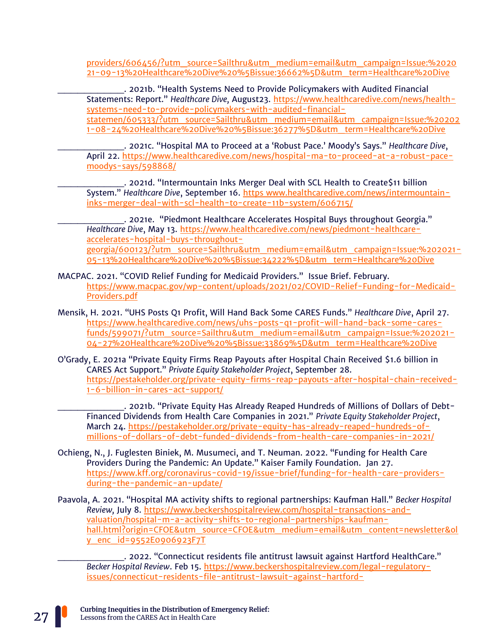[providers/606456/?utm\\_source=Sailthru&utm\\_medium=email&utm\\_campaign=Issue:%2020](https://www.healthcaredive.com/news/hhs-to-release-255b-in-covid-19-relief-funding-for-providers/606456/?utm_source=Sailthru&utm_medium=email&utm_campaign=Issue:%202021-09-13%20Healthcare%20Dive%20%5Bissue:36662%5D&utm_term=Healthcare%20Dive) [21-09-13%20Healthcare%20Dive%20%5Bissue:36662%5D&utm\\_term=Healthcare%20Dive](https://www.healthcaredive.com/news/hhs-to-release-255b-in-covid-19-relief-funding-for-providers/606456/?utm_source=Sailthru&utm_medium=email&utm_campaign=Issue:%202021-09-13%20Healthcare%20Dive%20%5Bissue:36662%5D&utm_term=Healthcare%20Dive)

\_\_\_\_\_\_\_\_\_\_. 2021b. "Health Systems Need to Provide Policymakers with Audited Financial Statements: Report." *Healthcare Dive,* August23. [https://www.healthcaredive.com/news/health](https://www.healthcaredive.com/news/health-systems-need-to-provide-policymakers-with-audited-financial-statemen/605333/?utm_source=Sailthru&utm_medium=email&utm_campaign=Issue:%202021-08-24%20Healthcare%20Dive%20%5Bissue:36277%5D&utm_term=Healthcare%20Dive)[systems-need-to-provide-policymakers-with-audited-financial](https://www.healthcaredive.com/news/health-systems-need-to-provide-policymakers-with-audited-financial-statemen/605333/?utm_source=Sailthru&utm_medium=email&utm_campaign=Issue:%202021-08-24%20Healthcare%20Dive%20%5Bissue:36277%5D&utm_term=Healthcare%20Dive)[statemen/605333/?utm\\_source=Sailthru&utm\\_medium=email&utm\\_campaign=Issue:%20202](https://www.healthcaredive.com/news/health-systems-need-to-provide-policymakers-with-audited-financial-statemen/605333/?utm_source=Sailthru&utm_medium=email&utm_campaign=Issue:%202021-08-24%20Healthcare%20Dive%20%5Bissue:36277%5D&utm_term=Healthcare%20Dive) [1-08-24%20Healthcare%20Dive%20%5Bissue:36277%5D&utm\\_term=Healthcare%20Dive](https://www.healthcaredive.com/news/health-systems-need-to-provide-policymakers-with-audited-financial-statemen/605333/?utm_source=Sailthru&utm_medium=email&utm_campaign=Issue:%202021-08-24%20Healthcare%20Dive%20%5Bissue:36277%5D&utm_term=Healthcare%20Dive)

\_\_\_\_\_\_\_\_\_\_. 2021c. "Hospital MA to Proceed at a 'Robust Pace.' Moody's Says." *Healthcare Dive*, April 22. [https://www.healthcaredive.com/news/hospital-ma-to-proceed-at-a-robust-pace](https://www.healthcaredive.com/news/hospital-ma-to-proceed-at-a-robust-pace-moodys-says/598868/)[moodys-says/598868/](https://www.healthcaredive.com/news/hospital-ma-to-proceed-at-a-robust-pace-moodys-says/598868/)

\_\_\_\_\_\_\_\_\_\_. 2021d. "Intermountain Inks Merger Deal with SCL Health to Create\$11 billion System." *Healthcare Dive*, September 16. https www.healthcaredive.com/news/intermountaininks-merger-deal-with-scl-health-to-create-11b-system/606715/

\_\_\_\_\_\_\_\_\_\_. 2021e. "Piedmont Healthcare Accelerates Hospital Buys throughout Georgia." *Healthcare Dive*, May 13. [https://www.healthcaredive.com/news/piedmont-healthcare](https://www.healthcaredive.com/news/piedmont-healthcare-accelerates-hospital-buys-throughout-georgia/600123/?utm_source=Sailthru&utm_medium=email&utm_campaign=Issue:%202021-05-13%20Healthcare%20Dive%20%5Bissue:34222%5D&utm_term=Healthcare%20Dive)[accelerates-hospital-buys-throughout](https://www.healthcaredive.com/news/piedmont-healthcare-accelerates-hospital-buys-throughout-georgia/600123/?utm_source=Sailthru&utm_medium=email&utm_campaign=Issue:%202021-05-13%20Healthcare%20Dive%20%5Bissue:34222%5D&utm_term=Healthcare%20Dive)[georgia/600123/?utm\\_source=Sailthru&utm\\_medium=email&utm\\_campaign=Issue:%202021-](https://www.healthcaredive.com/news/piedmont-healthcare-accelerates-hospital-buys-throughout-georgia/600123/?utm_source=Sailthru&utm_medium=email&utm_campaign=Issue:%202021-05-13%20Healthcare%20Dive%20%5Bissue:34222%5D&utm_term=Healthcare%20Dive) [05-13%20Healthcare%20Dive%20%5Bissue:34222%5D&utm\\_term=Healthcare%20Dive](https://www.healthcaredive.com/news/piedmont-healthcare-accelerates-hospital-buys-throughout-georgia/600123/?utm_source=Sailthru&utm_medium=email&utm_campaign=Issue:%202021-05-13%20Healthcare%20Dive%20%5Bissue:34222%5D&utm_term=Healthcare%20Dive)

MACPAC. 2021. "COVID Relief Funding for Medicaid Providers." Issue Brief. February. [https://www.macpac.gov/wp-content/uploads/2021/02/COVID-Relief-Funding-for-Medicaid-](https://www.macpac.gov/wp-content/uploads/2021/02/COVID-Relief-Funding-for-Medicaid-Providers.pdf)[Providers.pdf](https://www.macpac.gov/wp-content/uploads/2021/02/COVID-Relief-Funding-for-Medicaid-Providers.pdf)

- Mensik, H. 2021. "UHS Posts Q1 Profit, Will Hand Back Some CARES Funds." *Healthcare Dive*, April 27. [https://www.healthcaredive.com/news/uhs-posts-q1-profit-will-hand-back-some-cares](https://www.healthcaredive.com/news/uhs-posts-q1-profit-will-hand-back-some-cares-funds/599071/?utm_source=Sailthru&utm_medium=email&utm_campaign=Issue:%202021-04-27%20Healthcare%20Dive%20%5Bissue:33869%5D&utm_term=Healthcare%20Dive)[funds/599071/?utm\\_source=Sailthru&utm\\_medium=email&utm\\_campaign=Issue:%202021-](https://www.healthcaredive.com/news/uhs-posts-q1-profit-will-hand-back-some-cares-funds/599071/?utm_source=Sailthru&utm_medium=email&utm_campaign=Issue:%202021-04-27%20Healthcare%20Dive%20%5Bissue:33869%5D&utm_term=Healthcare%20Dive) [04-27%20Healthcare%20Dive%20%5Bissue:33869%5D&utm\\_term=Healthcare%20Dive](https://www.healthcaredive.com/news/uhs-posts-q1-profit-will-hand-back-some-cares-funds/599071/?utm_source=Sailthru&utm_medium=email&utm_campaign=Issue:%202021-04-27%20Healthcare%20Dive%20%5Bissue:33869%5D&utm_term=Healthcare%20Dive)
- O'Grady, E. 2021a "Private Equity Firms Reap Payouts after Hospital Chain Received \$1.6 billion in CARES Act Support." *Private Equity Stakeholder Project*, September 28. [https://pestakeholder.org/private-equity-firms-reap-payouts-after-hospital-chain-received-](https://pestakeholder.org/private-equity-firms-reap-payouts-after-hospital-chain-received-1-6-billion-in-cares-act-support/)[1-6-billion-in-cares-act-support/](https://pestakeholder.org/private-equity-firms-reap-payouts-after-hospital-chain-received-1-6-billion-in-cares-act-support/)

. 2021b. "Private Equity Has Already Reaped Hundreds of Millions of Dollars of Debt-Financed Dividends from Health Care Companies in 2021." *Private Equity Stakeholder Project*, March 24. [https://pestakeholder.org/private-equity-has-already-reaped-hundreds-of](https://pestakeholder.org/private-equity-has-already-reaped-hundreds-of-millions-of-dollars-of-debt-funded-dividends-from-health-care-companies-in-2021/)[millions-of-dollars-of-debt-funded-dividends-from-health-care-companies-in-2021/](https://pestakeholder.org/private-equity-has-already-reaped-hundreds-of-millions-of-dollars-of-debt-funded-dividends-from-health-care-companies-in-2021/)

- Ochieng, N., J. Fuglesten Biniek, M. Musumeci, and T. Neuman. 2022. "Funding for Health Care Providers During the Pandemic: An Update." Kaiser Family Foundation. Jan 27. [https://www.kff.org/coronavirus-covid-19/issue-brief/funding-for-health-care-providers](https://www.kff.org/coronavirus-covid-19/issue-brief/funding-for-health-care-providers-during-the-pandemic-an-update/)[during-the-pandemic-an-update/](https://www.kff.org/coronavirus-covid-19/issue-brief/funding-for-health-care-providers-during-the-pandemic-an-update/)
- Paavola, A. 2021. "Hospital MA activity shifts to regional partnerships: Kaufman Hall." *Becker Hospital Review,* July 8. [https://www.beckershospitalreview.com/hospital-transactions-and](https://www.beckershospitalreview.com/hospital-transactions-and-valuation/hospital-m-a-activity-shifts-to-regional-partnerships-kaufman-hall.html?origin=CFOE&utm_source=CFOE&utm_medium=email&utm_content=newsletter&oly_enc_id=9552E0906923F7T)[valuation/hospital-m-a-activity-shifts-to-regional-partnerships-kaufman](https://www.beckershospitalreview.com/hospital-transactions-and-valuation/hospital-m-a-activity-shifts-to-regional-partnerships-kaufman-hall.html?origin=CFOE&utm_source=CFOE&utm_medium=email&utm_content=newsletter&oly_enc_id=9552E0906923F7T)[hall.html?origin=CFOE&utm\\_source=CFOE&utm\\_medium=email&utm\\_content=newsletter&ol](https://www.beckershospitalreview.com/hospital-transactions-and-valuation/hospital-m-a-activity-shifts-to-regional-partnerships-kaufman-hall.html?origin=CFOE&utm_source=CFOE&utm_medium=email&utm_content=newsletter&oly_enc_id=9552E0906923F7T) [y\\_enc\\_id=9552E0906923F7T](https://www.beckershospitalreview.com/hospital-transactions-and-valuation/hospital-m-a-activity-shifts-to-regional-partnerships-kaufman-hall.html?origin=CFOE&utm_source=CFOE&utm_medium=email&utm_content=newsletter&oly_enc_id=9552E0906923F7T)

\_\_\_\_\_\_\_\_\_\_. 2022. "Connecticut residents file antitrust lawsuit against Hartford HealthCare." *Becker Hospital Review*. Feb 15. [https://www.beckershospitalreview.com/legal-regulatory](https://www.beckershospitalreview.com/legal-regulatory-issues/connecticut-residents-file-antitrust-lawsuit-against-hartford-healthcare.html?origin=RCME&utm_source=RCME&utm_medium=email&utm_content=newsletter&oly_enc_id=9552E0906923F7T)[issues/connecticut-residents-file-antitrust-lawsuit-against-hartford-](https://www.beckershospitalreview.com/legal-regulatory-issues/connecticut-residents-file-antitrust-lawsuit-against-hartford-healthcare.html?origin=RCME&utm_source=RCME&utm_medium=email&utm_content=newsletter&oly_enc_id=9552E0906923F7T)